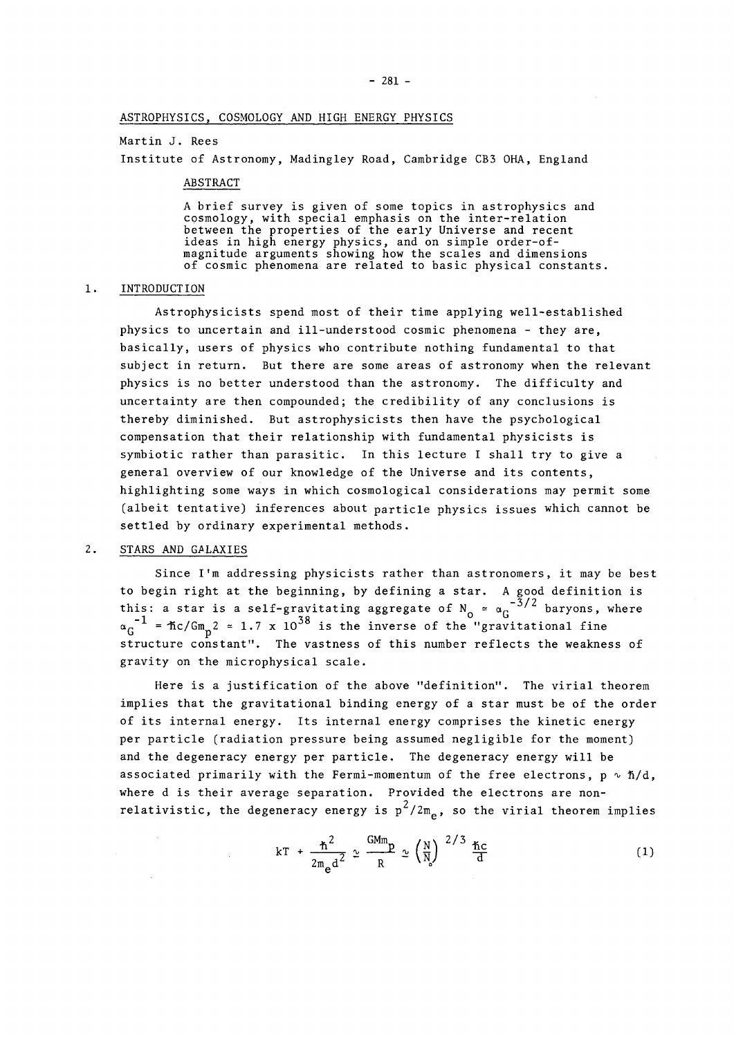#### Martin J. Rees

Institute of Astronomy, Madingley Road, Cambridge CB3 OHA, England

#### ABSTRACT

A brief survey is given of some topics in astrophysics and cosmology, with special emphasis on the inter-relation between the properties of the early Universe and recent ideas in high energy physics, and on simple order-ofmagnitude arguments snowing how the scales and dimensions of cosmic phenomena are related to basic physical constants.

#### 1. INTRODUCTION

Astrophysicists spend most of their time applying well-established physics to uncertain and ill-understood cosmic phenomena - they are, basically, users of physics who contribute nothing fundamental to that subject in return. But there are some areas of astronomy when the relevant physics is no better understood than the astronomy. The difficulty and uncertainty are then compounded; the credibility of any conclusions is thereby diminished. But astrophysicists then have the psychological compensation that their relationship with fundamental physicists is symbiotic rather than parasitic. In this lecture I shall try to give a general overview of our knowledge of the Universe and its contents, highlighting some ways in which cosmological considerations may permit some (albeit tentative) inferences about particle physics issues which cannot be settled by ordinary experimental methods.

## 2. STARS AND GALAXIES

Since I'm addressing physicists rather than astronomers, it may be best to begin right at the beginning, by defining a star. A good definition is -3/2  $\alpha_G^{-1}$  =  $\hbar c/\sigma_m^2$  = 1.7 x 10<sup>38</sup> is the inverse of the "gravitational fine tructure constant". The vastness of this number re gravity on the microphysical scale.

Here is a justification of the above "definition". The virial theorem implies that the gravitational binding energy of a star must be of the order of its internal energy. Its internal energy comprises the kinetic energy per particle (radiation pressure being assumed negligible for the moment) and the degeneracy energy per particle. The degeneracy energy will be associated primarily with the Fermi-momentum of the free electrons,  $p \sim \hbar/d$ , where d is their average separation. Provided the electrons are nonwhere d is their average separation. Provided the electrons are nonrelativistic, the degeneracy energy is p */2mQ,* so the virial theorem implies

$$
kT + \frac{\hbar^2}{2m_{\text{e}}d^2} \approx \frac{GMm_{\text{p}}}{R} \approx \left(\frac{N}{N_{\text{s}}}\right)^{2/3} \frac{\hbar c}{d}
$$
 (1)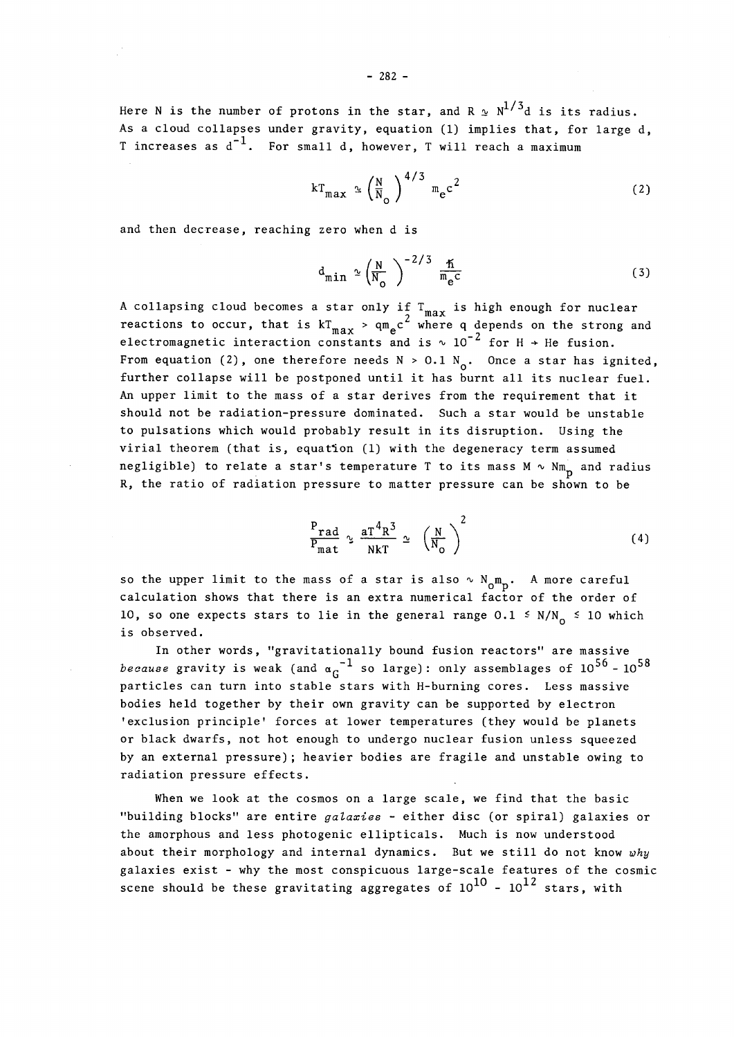$$
kT_{\max} \simeq \left(\frac{N}{N_o}\right)^{4/3} m_e c^2
$$
 (2)

and then decrease, reaching zero when d is

$$
d_{\min} \simeq \left(\frac{N}{N_o}\right)^{-2/3} \frac{\hslash}{m_e c} \tag{3}
$$

A collapsing cloud becomes a star only if  $T_{max}$  is high enough for nuclear 2 where reactions to occur, that is  $\max_{\text{max}}$  and  $\frac{1}{\sqrt{2}}$ **111 O-** *J\.* **6 n**  From equation (2), one therefore needs  $N > 0.1 N_0$ . Once a star has ignited, further collapse will be postponed until it has burnt all its nuclear fuel. An upper limit to the mass of a star derives from the requirement that it should not be radiation-pressure dominated. Such a star would be unstable to pulsations which would probably result in its disruption. Using the virial theorem (that is, equation (1) with the degeneracy term assumed negligible) to relate a star's temperature T to its mass  $M \sim Nm$ <sub>p</sub> and radius R, the ratio of radiation pressure to matter pressure can be shown to be

$$
\frac{P_{rad}}{P_{mat}} \sim \frac{aT^4R^3}{NkT} \sim \left(\frac{N}{N_o}\right)^2
$$
 (4)

so the upper limit to the mass of a star is also  $\sim N_{\rm m}$ . A more careful calculation shows that there is an extra numerical factor of the order of 10, so one expects stars to lie in the general range 0.1  $\leq$  N/N<sub>0</sub>  $\leq$  10 which is observed. *<u><i><u></u>*  $\frac{1}{2}$  which is the set of  $\frac{1}{2}$  which is the set of  $\frac{1}{2}$  which is the set of  $\frac{1}{2}$  which is the set of  $\frac{1}{2}$ </u>

In other  $\sigma$  aravity is work (and  $\alpha^{-1}$  so large); only assemblages of  $10^{56}$  = 10 **because of the standard conduction** is the Herming cores of the massive bodies held together by their own gravity can be supported by electron 'exclusion principle' forces at lower temperatures (they would be planets or black dwarfs, not hot enough to undergo nuclear fusion unless squeezed by an external pressure); heavier bodies are fragile and unstable owing to radiation pressure effects.

when we look at the cosmos on a large scale, we find that the basic "building blocks" are entire *galaxies -* either disc (or spiral) galaxies or the amorphous and less photogenic ellipticals. Much is now understood about their morphology and internal dynamics. But we still do not know *why*  galaxies exist - why the most conspicuous large-scale features of the cosmic scene should be these gravitating aggregates of  $10^{10}$  -  $10^{12}$  stars, with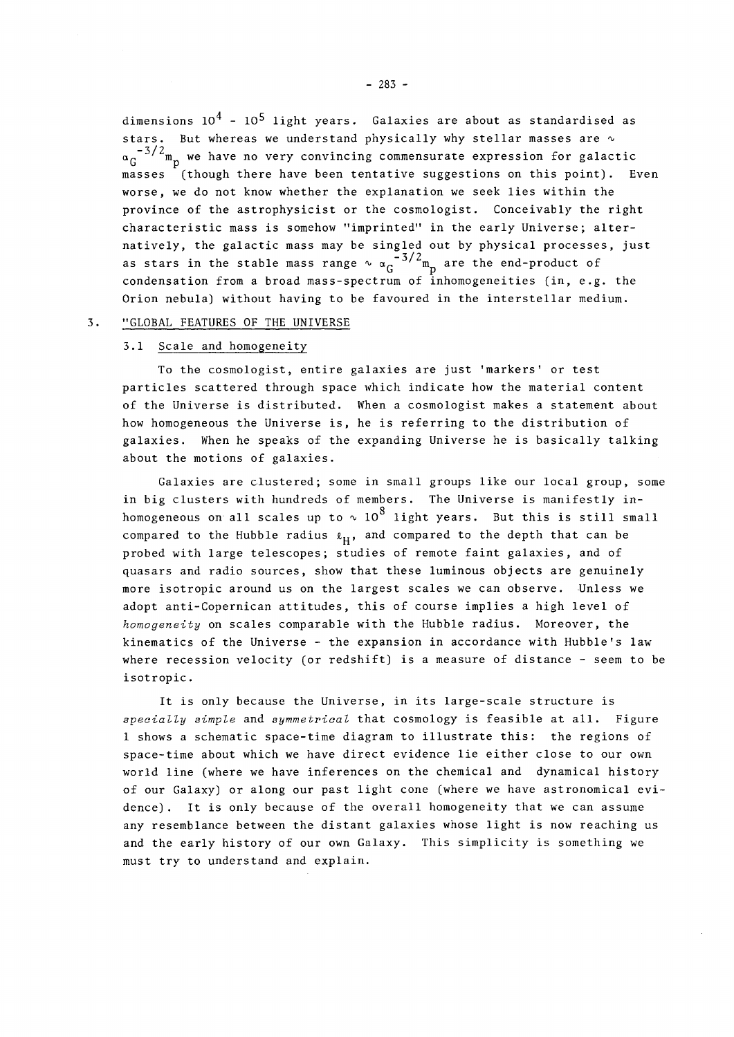dimensions  $10^4$  -  $10^5$  light years. Galaxies are about as standardised as stars. But whereas we understand physically why stellar masses are  $\sim$  $\alpha_c^{-3/2}$  m<sub>n</sub> we have no very convincing commensurate expression for galactic masses (though there have been tentative suggestions on this point). Even worse, we do not know whether the explanation we seek lies within the province of the astrophysicist or the cosmologist. Conceivably the right characteristic mass is somehow "imprinted" in the early Universe; alternatively, the galactic mass may be singled out by physical processes, just  $n = 3/2$  and  $n = 5/2$  are the singlet of -3/2 condensation from a broad mass-spectrum of finiomogenerities  $\{m, e\}$ Orion nebula) without having to be favoured in the interstellar medium.

#### $3.$ "GLOBAL FEATURES OF THE UNIVERSE 3. "GLOBAL FEATURES OF THE UNIVERSE OF THE UNIVERSE OF THE UNIVERSE OF THE UNIVERSE OF THE UNIVERSE OF THE UNIVERSE OF THE UNIVERSE OF THE UNIVERSE OF THE UNIVERSE OF THE UNIVERSE OF THE UNIVERSE OF THE UNIVERSE OF THE UNI

### 3.1 Scale and homogeneity

To the cosmologist, entire galaxies are just 'markers' or test particles scattered through space which indicate how the material content of the Universe is distributed. When a cosmologist makes a statement about how homogeneous the Universe is, he is referring to the distribution of galaxies. When he speaks of the expanding Universe he is basically talking about the motions of galaxies.

Galaxies are clustered; some in small groups like our local group, some in big clusters with hundreds of members. The Universe is manifestly inhomogeneous on all scales up to  $\sim 10^8$  light years. But this is still small compared to the Hubble radius  $\ell_H$ , and compared to the depth that can be probed with large telescopes; studies of remote faint galaxies, and of quasars and radio sources, show that these luminous objects are genuinely more isotropic around us on the largest scales we can observe. Unless we adopt anti-Copernican attitudes, this of course implies a high level of homogeneity on scales comparable with the Hubble radius. Moreover, the kinematics of the Universe - the expansion in accordance with Hubble's law where recession velocity (or redshift) is a measure of distance - seem to be where recession velocity (or redshift) is a measure of distance - seem to be distance - seem to be distance -

It is only because the Universe, in its large-scale structure is *specially simple* and *symmetrical* that cosmology is feasible at all. Figure 1 shows a schematic space-time diagram to illustrate this: the regions of space-time about which we have direct evidence lie either close to our own world line (where we have inferences on the chemical and dynamical history of our Galaxy) or along our past light cone (where we have astronomical evidence) . It is only because of the overall homogeneity that we can assume any resemblance between the distant galaxies whose light is now reaching us and the early history of our own Galaxy. This simplicity is something we must try to understand and explain.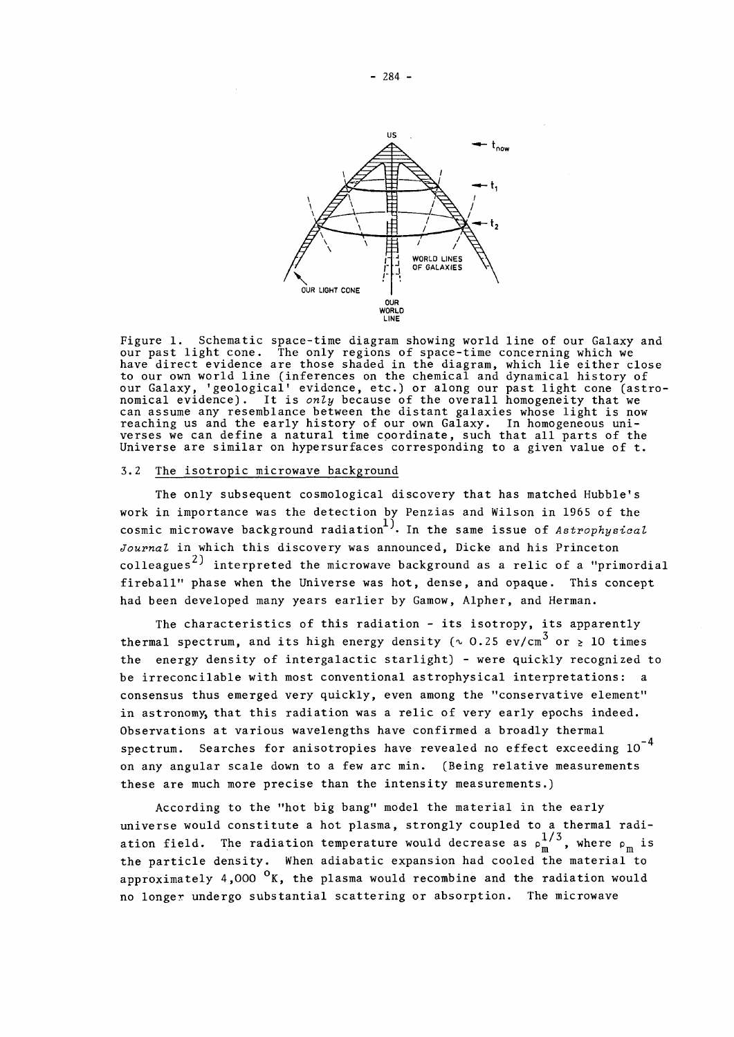

Figure 1. Schematic space-time diagram showing world line of our Galaxy and our past light cone. The only regions of space-time concerning which we have direct evidence are those shaded in the diagram, which lie either close to our own world line (inferences on the chemical and dynamical history of our Galaxy, 'geological' evidence, etc.) or along our past light cone (astro nomical evidence). It is *only* because of the overall homogeneity that we can assume any resemblance between the distant galaxies whose light is now reaching us and the early history of our own Galaxy. In homogeneous universes we can define a natural time coordinate, such that all parts of the Universe are similar on hypersurfaces corresponding to a given value of t.

### 3.2 The isotropic microwave background

The only subsequent cosmological discovery that has matched Hubble's work in importance was the detection by Penzias and Wilson in 1965 of the cosmic microwave background radiation'''''. In the same issue of *Astrophysioal Journal* in which this discovery was announced, Dicke and his Princeton colleagues<sup>2)</sup> interpreted the microwave background as a relic of a "primordial collective the microwave background as a relic of a relic of a relic of the second had been developed many years earlier by Gamow, Alpher, and Herman.

had been developed many years earlier by Gamow, Alpher, and Herman.

The characteristics of this radiation - its isotropy, its apparently thermal spectrum, and its high energy density  $(\sim 0.25 \text{ ev/cm}^3 \text{ or } \geq 10 \text{ times}$ the energy density of intergalactic starlight) - were quickly recognized to be irreconcilable with most conventional astrophysical interpretations: a consensus thus emerged very quickly, even among the "conservative element" in astronomy, that this radiation was a relic of very early epochs indeed. Observations at various wavelengths have confirmed a broadly thermal spectrum. Searches for anisotropies have revealed no effect exceeding  $10^{-4}$ on any angular scale down to a few arc min. (Being relative measurements these are much more precise than the intensity measurements.)

these are much more precise than the intensity measurements.) According to the "hot big bang" model the material in the early universe would constitute a hot plasma, strongly coupled to a thermal radi- $1/3$ ation field. The radiation temperature would decrease as **p <sup>m</sup> '** , where **p <sup>m</sup>** is the particle density. When adiabatic expansion had cooled the material to approximately 4,000 °K, the plasma would recombine and the radiation would no longer undergo substantial scattering or absorption. The microwave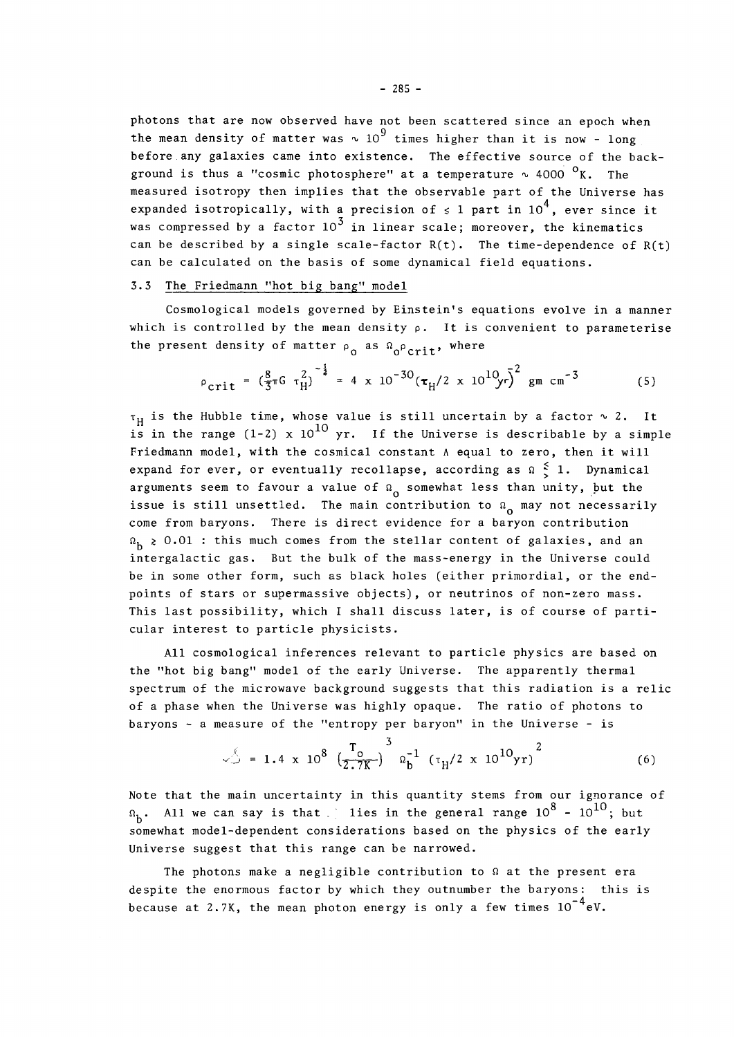photons that are now observed have not been scattered since an epoch when the mean density of matter was  $\sim 10^9$  times higher than it is now - long before any galaxies came into existence. The effective source of the background is thus a "cosmic photosphere" at a temperature  $\sim$  4000  $\rm{^0K}$ . The measured isotropy then implies that the observable part of the Universe has expanded isotropically, with a precision of  $\leq 1$  part in 10<sup>4</sup>, ever since it was compressed by a factor  $10^3$  in linear scale; moreover, the kinematics can be described by a single scale-factor  $R(t)$ . The time-dependence of  $R(t)$ can be calculated on the basis of some dynamical field equations. can be calculated on the basis of some dynamical field equations.

## 3.3 The Friedmann "hot big bang" model

Cosmological models governed by Einstein's equations evolve in a manner which is controlled by the mean density  $\rho$ . It is convenient to parameterise the present density of matter  $\rho$  as  $\Omega$  <sub>o</sub> $\rho$  crit, where

$$
\rho_{\text{crit}} = \left(\frac{8}{3}\pi G \tau_H^2\right)^{-\frac{1}{2}} = 4 \times 10^{-30} \left(\tau_H / 2 \times 10^{10} \right) \bar{r}^2 \text{ gm cm}^{-3}
$$
 (5)

 $\tau_{\rm H}$  is the Hubble time, whose value is still uncertain by a factor  $\sim$  2. It 10 Friedmann model, with the cosmical constant  $\Lambda$  equal to zero, then it will expand for ever, or eventually recollapse, according as  $\Omega \leq 1$ . Dynamical arguments seem to favour a value of  $\Omega_0$  somewhat less than unity, but the issue is still unsettled. The main contribution to  $\Omega_0$  may not necessarily come from baryons. There is direct evidence for a baryon contribution  $\Omega_h \geq 0.01$ : this much comes from the stellar content of galaxies, and an intergalactic gas. But the bulk of the mass-energy in the Universe could be in some other form, such as black holes (either primordial, or the endpoints of stars or supermassive objects), or neutrinos of non-zero mass. This last possibility, which I shall discuss later, is of course of particular interest to particle physicists. cular interest to particle physicists. The particle physicists of the physicists. The particle physicists of the physicists of the physicists of the physicists of the physicists. The physicists of the physicists of the phy

All cosmological inferences relevant to particle physics are based on the "hot big bang" model of the early Universe. The apparently thermal spectrum of the microwave background suggests that this radiation is a relic of a phase when the Universe was highly opaque. The ratio of photons to baryons - a measure of the "entropy per baryon" in the Universe - is

$$
\sqrt{2} = 1.4 \times 10^8 \left(\frac{T_0}{2.7K}\right)^3 \Omega_b^{-1} \left(\tau_H/2 \times 10^{10} \text{yr}\right)^2
$$
 (6)

Note that the main uncertainty in this quantity stems from our ignorance of  $\Omega_h$ . All we can say is that j lies in the general range  $10^8$  -  $10^{10}$ ; but somewhat model-dependent considerations based on the physics of the early Universe suggest that this range can be narrowed.

Universe suggest that this range can be narrowed. The photons make a negligible contribution to *a* at the present era despite the enormous factor by which they outnumber the baryons: this is  $-4$ e because at 2.7K, the mean photon energy is only a few times is only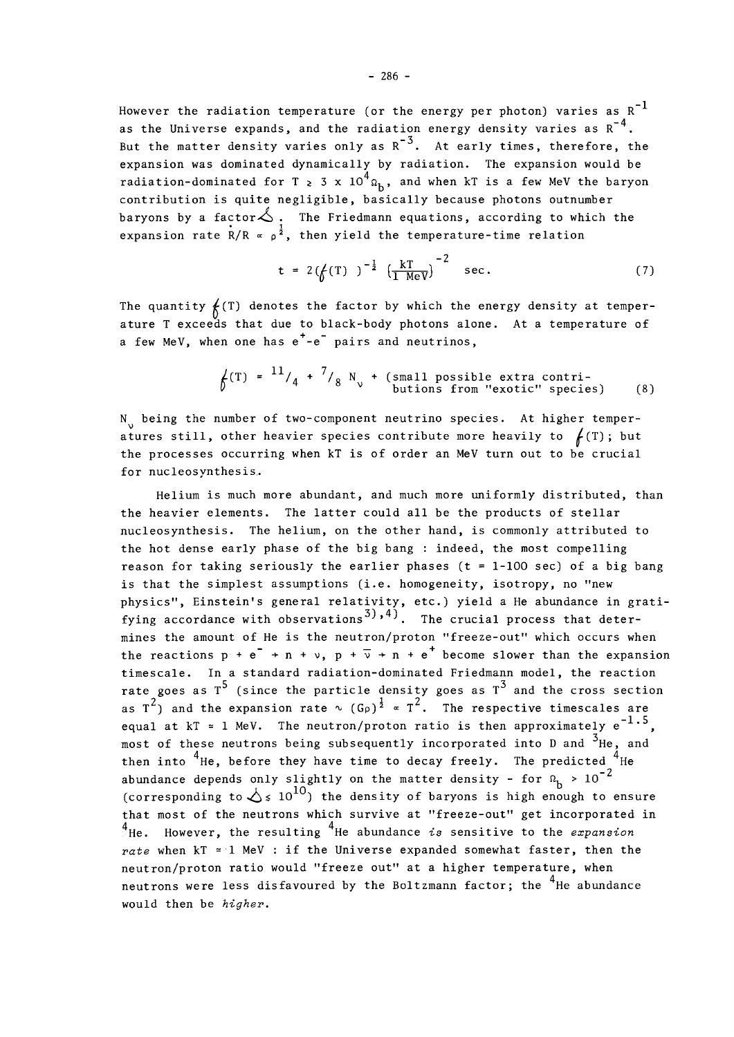However the radiation temperature (or the energy per photon) varies as  $R^{-1}$ as the Universe expands, and the radiation energy density varies as  $R^{-4}$ . as the Universe expands, and the radiation energy density varies as R  $\overline{a}$ expansion was dominated dynamically by radiation. The expansion would be radiation-dominated for T  $\geq 3 \times 10^4$   $\Omega_b$ , and when kT is a few MeV the baryon contribution is quite negligible, basically because photons outnumber baryons by a factor  $\triangle$ . The Friedmann equations, according to which the  $\frac{1}{\cdot}$  i expansion rate R/R = **p <sup>2</sup> ,** then yield the temperature-time relation

$$
t = 2(\t f(T))^{-\frac{1}{2}} \left( \frac{kT}{1 \text{ MeV}} \right)^{-2} \text{ sec.}
$$
 (7)

The quantity  $f(T)$  denotes the factor by which the energy density at temperature T exceeds that due to black-body photons alone. At a temperature of a few MeV, when one has  $e^+$ - $e^-$  pairs and neutrinos,

$$
\oint
$$
(T) = <sup>11</sup>/<sub>4</sub> + <sup>7</sup>/<sub>8</sub> N<sub>v</sub> + (small possible extra contri-  
butions from "exotic" species) (8)

 $N_{v}$  being the number of two-component neutrino species. At higher temperatures still, other heavier species contribute more heavily to  $f(T)$ ; but the processes occurring when kT is of order an MeV turn out to be crucial for nucleosynthesis.

Helium is much more abundant, and much more uniformly distributed, than the heavier elements. The latter could all be the products of stellar nucleosynthesis. The helium, on the other hand, is commonly attributed to the hot dense early phase of the big bang : indeed, the most compelling reason for taking seriously the earlier phases ( $t = 1-100$  sec) of a big bang is that the simplest assumptions (i.e. homogeneity, isotropy, no "new physics", Einstein's general relativity, etc.) yield a He abundance in gratifying accordance with observations<sup>3</sup>,4). The crucial process that determings the smount of He is the neutron (proton "freeze-out" which oscurs wh the reactions  $p + e^- + n + v$ ,  $p + \overline{v} + n + e^+$  become slower than the expansion timescale. In a standard radiation-dominated Friedmann model, the reaction rate goes as  $T^5$  (since the particle density goes as  $T^3$  and the cross section rate goes as I (since the particle density goes as I and the cross section<br>as T<sup>2</sup>) and the expansion rate  $\sim$  (G<sub>P</sub>)<sup>1</sup>  $\propto$  T<sup>2</sup>. The respective timescales are equal at kT = 1 MeV. The neutron/proton ratio is then approximately  $e^{-1.5}$ . most of these neutrons being subsequently incorporated into D and  $3$ He, and then into  $4$ He, before they have time to decay freely. The predicted  $-2$ abundance depends only slightly on the matter density - for  $u_b^b$   $\rightarrow$  10 (corresponding to  $\triangle$   $\leq 10^{10}$ ) the density of baryons is high enough to ensure that most of the neutrons which survive at "freeze-out" get incorporated in that most of the neutrons which survive at "freeze-out" get incorporated in 4 4 He. However, the resulting He abundance *is* sensitive to the *expansion rate* when kT = 1 MeV : if the Universe expanded somewhat faster, then the neutron/proton ratio would "freeze out" at a higher temperature, when neutrons were less disfavoured by the Boltzmann factor; the <sup>4</sup>He abundance would then be higher.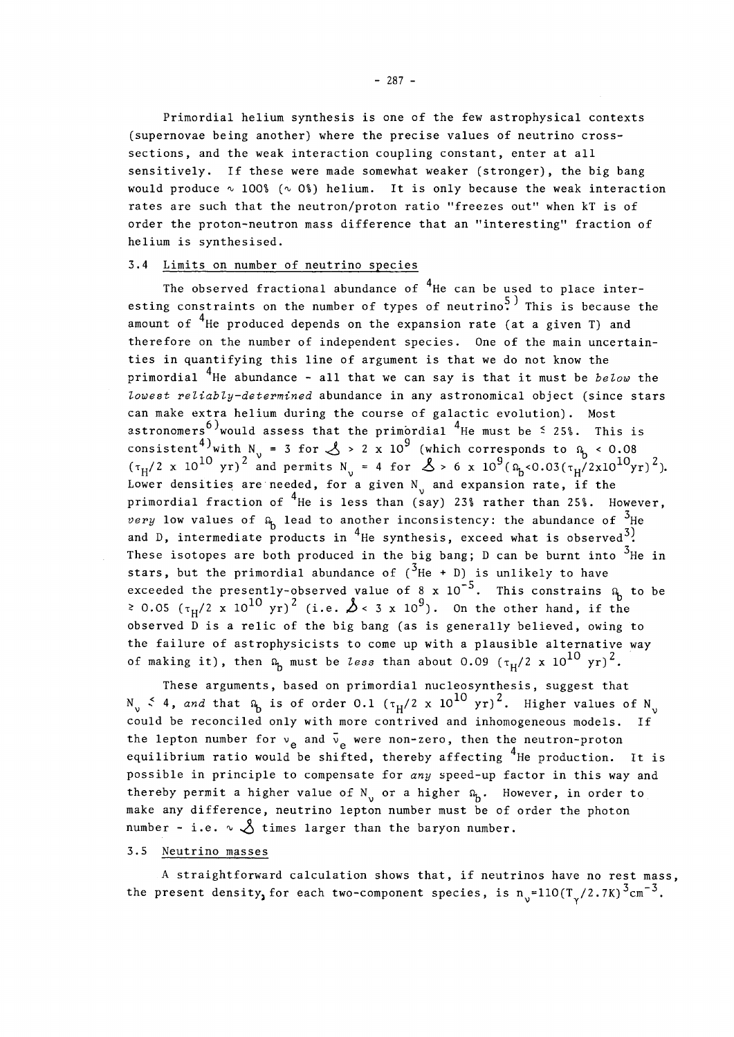Primordial helium synthesis is one of the few astrophysical contexts (supernovae being another) where the precise values of neutrino crosssections, and the weak interaction coupling constant, enter at all sensitively. If these were made somewhat weaker (stronger), the big bang would produce  $\sim 100\$  ( $\sim 0\$ ) helium. It is only because the weak interaction rates are such that the neutron/proton ratio "freezes out" when kT is of order the proton-neutron mass difference that an "interesting" fraction of helium is synthesised.

## 3.4 Limits on number of neutrino species

The observed fractional abundance of  $^{4}$ He can be used to place interesting constraints on the number of types of neutrino<sup>5</sup>. This is because the 4., amount of He produced depends on the expansion rate (at a given T) and therefore on the number of independent species. One of the main uncertainties in quantifying this line of argument is that we do not know the primordial <sup>4</sup>He abundance - all that we can say is that it must be *below* the lowest reliably-determined abundance in any astronomical object (since stars can make extra helium during the course of galactic evolution). Most astronomers<sup>6)</sup> would assess that the primordial <sup>4</sup>He must be  $\leq$  25%. This is consistent<sup>4)</sup>with N = 3 for  $\lambda > 2 \times 10^9$  (which corresponds to  $\alpha$  < 0.08  $(r_{\rm x}/2 \times 10^{10} \text{ yr})^2$  and permits N = 4 for  $\lambda > 6 \times 10^9$  (9.40.03(x)/2 $\frac{10^{10} \text{yr}}{2}$ Lower densities are needed, for a given  $N_{v}$  and expansion rate, if the primordial fraction of <sup>4</sup>He is less than (say) 23% rather than 25%. However, very low values of  $\Omega_h$  lead to another inconsistency: the abundance of  $^3$ He and D, intermediate products in <sup>4</sup>He synthesis, exceed what is observed<sup>3)</sup>. These isotopes are both produced in the big bone. D can be hugh into  $3_{\text{U}}$ stars, but the primordial abundance of  $(3He + D)$  is unlikely to have  $\overline{\phantom{a}}$   $\overline{\phantom{a}}$ stars, but the primordial abundance of  $(4\pi + 1)$  is unlikely to have  $\frac{1}{2}$  $\epsilon$  and  $\epsilon$  10- $\sqrt{2}$   $\ldots$   $\sqrt{8}$  10- $\sqrt{9}$ . This constrains to be be  $\sqrt{2}$ . - 0.05 (T <sup>h</sup> /2 x 10 <sup>1</sup> <sup>0</sup> yr) <sup>2</sup> (i.e. *h* < 3 x 10 <sup>9</sup> ) . On the other hand, if the observed D is a relic of the big bang (as is generally believed, owing to<br>the failure of astrophysicists to come up with a plausible alternative way  $\frac{10}{2}$  the failure of astrophysicists to come up with a plausible alternative way yr).

These examents, beed an universityl nucleosynthesis, suspect that These arguments, based on primordial nucleosynthesis, suggest that  $N_v \stackrel{\text{<}{\sim}} 4$ , and that  $\Omega_b$  is of order 0.1  $(\tau_H/2 \times 10^{10} \text{ yr})^2$ . Higher values of  $N_v$ could be reconciled only with more contrived and inhomogeneous models. If the lepton number for  $v_e$  and  $\bar{v}_e$  were non-zero, then the neutron-proton equilibrium ratio would be shifted, thereby affecting  $4$ He production. It is possible in principle to compensate for any speed-up factor in this way and thereby permit a higher value of  $N_{\nu}$  or a higher  $\Omega_{p}$ . However, in order to make any difference, neutrino lepton number must be of order the photon  $\mathbf{P}_{\text{ref}}$  permit a higher value of order to  $\mathbf{P}_{\text{ref}}$ make any difference, neutrino lepton number must be of order the photon

## 3.5 Neutrino masses

A straightforward calculation shows that, if neutrinos have no rest mass,  $\frac{1}{2}$  straightforward compared calculation shows that,  $\frac{1}{2}$   $\frac{1}{2}$   $\frac{3}{2}$   $\frac{3}{2}$   $\frac{3}{2}$  $\sim$  each two-component species, is n  $\sim$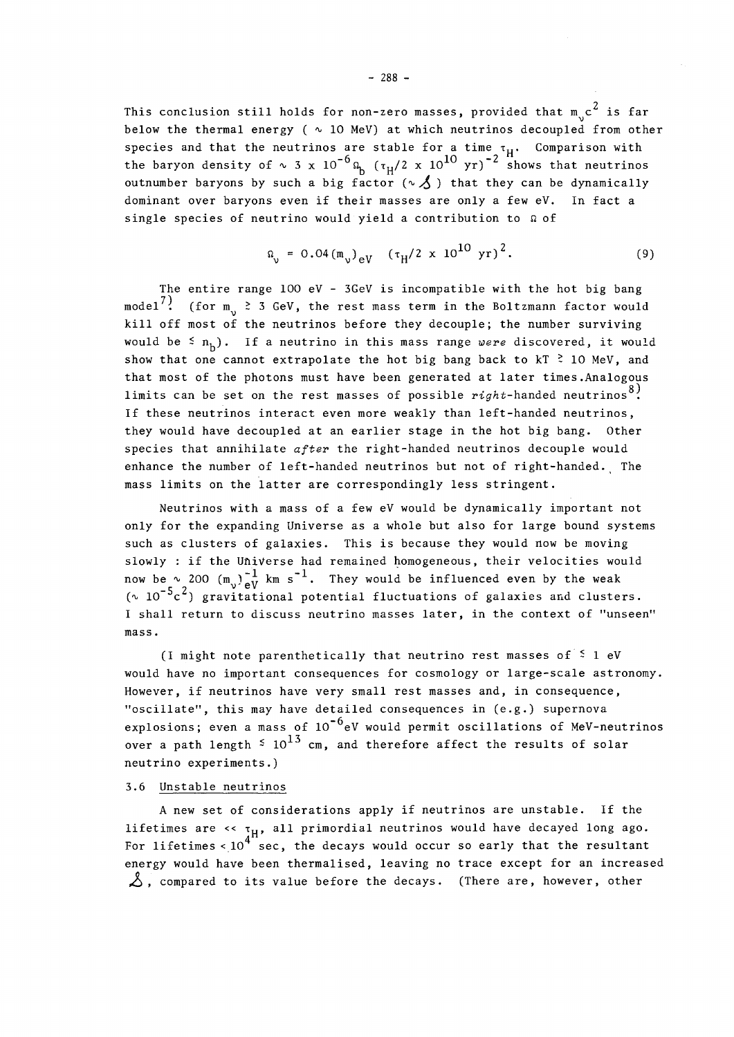This conclusion still holds for non-zero masses, provided that  $m_{1}c^{2}$  is far below the thermal energy ( $\sim$  10 MeV) at which neutrinos decoupled from other species and that the neutrinos are stable for a time  $\tau_H$ . Comparison with the baryon density of  $\sim 3 \times 10^{-6} \Omega_b$  ( $\tau_H/2 \times 10^{10}$  yr)<sup>-2</sup> shows that neutrinos outnumber baryons by such a big factor ( $\sim$   $\AA$ ) that they can be dynamically dominant over baryons even if their masses are only a few eV. In fact a single species of neutrino would yield a contribution to *a* of

$$
\Omega_{\nu} = 0.04 \left( m_{\nu} \right)_{eV} \left( \tau_{H} / 2 \times 10^{10} \text{ yr} \right)^{2}. \tag{9}
$$

The entire range 100 eV - 3GeV is incompatible with the hot big bang model<sup>7</sup>. (for m<sub>1</sub>  $\geq$  3 GeV, the rest mass term in the Boltzmann factor would kill off most of the neutrinos before they decouple; the number surviving would be  $\leq n_{\rm h}$ ). If a neutrino in this mass range were discovered, it would show that one cannot extrapolate the hot big bang back to  $kT \stackrel{>}{\sim} 10$  MeV, and that most of the photons must have been generated at later times. Analogous that  $\cos k$  of  $\cos k$  must masses of pessible wish banded poutnings. 8 ) If these neutrinos interact even more weakly than left-handed neutrinos, they would have decoupled at an earlier stage in the hot big bang. Other species that annihilate  $after$  the right-handed neutrinos decouple would enhance the number of left-handed neutrinos but not of right-handed. The mass limits on the latter are correspondingly less stringent.

Neutrinos with a mass of a few eV would be dynamically important not only for the expanding Universe as a whole but also for large bound systems such as clusters of galaxies. This is because they would now be moving slowly : if the Universe had remained homogeneous, their velocities would now be  $\sim$  200 (m<sub>v</sub>) $\frac{1}{eV}$  km s<sup>-1</sup>. They would be influenced even by the weak  $(v \ 10^{-5}c^2)$  gravitational potential fluctuations of galaxies and clusters. I shall return to discuss neutrino masses later, in the context of "unseen"  ${\tt mass}$ s later, in the context of  ${\tt mass}$  in the context of  ${\tt mass}$  in the context of  ${\tt mass}$  in the context of  ${\tt mass}$  in the context of  ${\tt mass}$  in the context of  ${\tt mass}$  in the context of  ${\tt mass}$  in the context of  ${\tt mass}$  in the

mass. (I might note parenthetically that neutrino rest masses of  $\leq 1$  eV would have no important consequences for cosmology or large-scale astronomy. However, if neutrinos have very small rest masses and, in consequence, "oscillate", this may have detailed consequences in (e.g.) supernova  $\sim$  oscillated consequences in (e.g.) supernova $\sim$  supernova $\sim$  supernova $\sim$  $\epsilon$  mass of 10  $\epsilon$  10  $\epsilon$  10  $\epsilon$  would permit oscillations of MeV-neutrinos of MeV-neutrinos of  $M$ over a path length - 10 cm, and therefore affect the results of solar affect the results of solar affect the results of solar affect the results of solar affect the results of solar affect the results of solar affect the neutrino experiments.)

## 3.6 Unstable neutrinos

A new set of considerations apply if neutrinos are unstable. If the lifetimes are  $\langle \cdot, \cdot \rangle$  all primordial neutrinos would have decayed long ago. For lifetimes <  $10^{4}$  sec, the decays would occur so early that the resultant energy would have been thermalised, leaving no trace except for an increased  $\Delta$ , compared to its value before the decays. (There are, however, other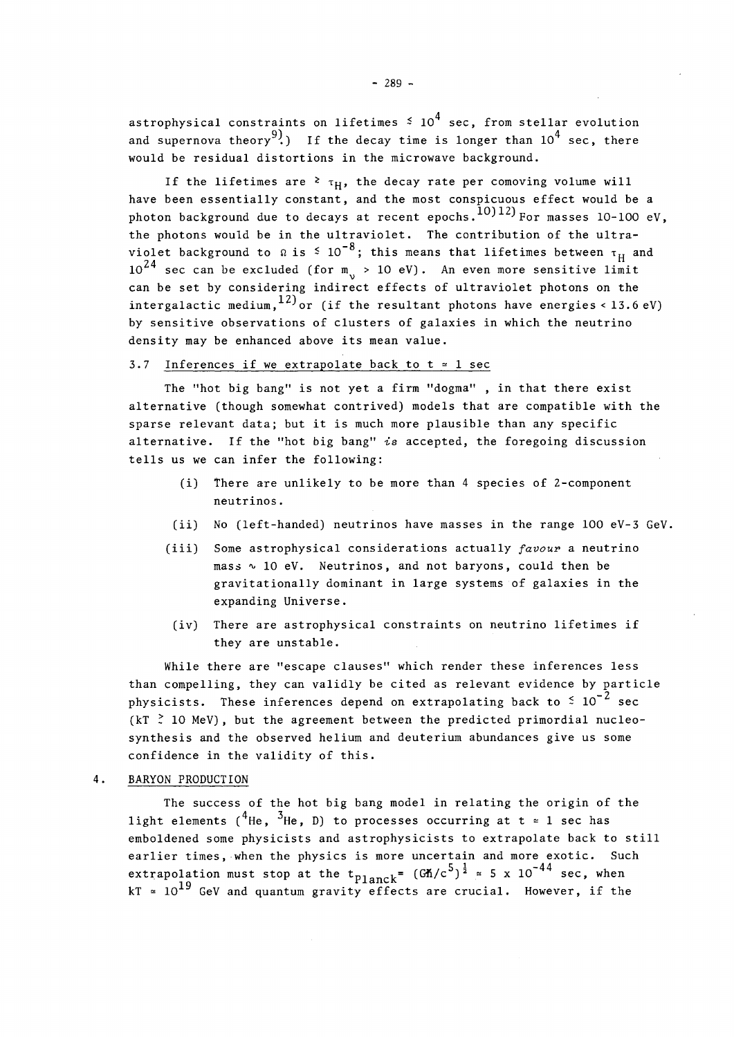astrophysical constraints on lifetimes  $\frac{4}{5}$  10<sup>4</sup> sec, from stellar evolution and supernova theory $^{9)}$ .) If the decay time is longer than  $10^4$  sec, there would be residual distortions in the microwave background.

If the lifetimes are <sup>2</sup>  $\tau_{\rm H}$ , the decay rate per comoving volume will have been essentially constant, and the most conspicuous effect would be a photon background due to decays at recent epochs.  $^{10)12}$  For masses 10-100 eV, the photons would be in the ultraviolet. The contribution of the ultra violet background to  $\Omega$  is  $\leq 10^{-8}$ ; this means that lifetimes between  $\tau_H$  and violet background to *a* is - 10 ; this means that lifetimes between T " and 24 can be set by considering indirect effects of ultraviolet photons on the intergalactic medium,  $^{12)}$  or (if the resultant photons have energies < 13.6 eV) by sensitive observations of clusters of galaxies in which the neutrino density may be enhanced above its mean yalue

#### by sensitive observations of clusters of galaxies in which the neutrino 3.7 Inferences if we extrapolate back to  $t \approx 1$  sec

The "hot big bang" is not yet a firm "dogma", in that there exist alternative (though somewhat contrived) models that are compatible with the sparse relevant data; but it is much more plausible than any specific alternative. If the "hot big bang" is accepted, the foregoing discussion tells us we can infer the following:

- (i) There are unlikely to be more than 4 species of 2-component neutrinos.
- (ii) No (left-handed) neutrinos have masses in the range 100 eV-3 GeV.
- (iii) Some astrophysical considerations actually *favour* a neutrino  $mass ~ 10 ~ eV.$  Neutrinos, and not baryons, could then be gravitationally dominant in large systems of galaxies in the expanding Universe.
- (iv) There are astrophysical constraints on neutrino lifetimes if they are unstable.

While there are "escape clauses" which render these inferences less than compelling, they can validly be cited as relevant evidence by particle physicists. These inferences depend on extrapolating back to  $\stackrel{\scriptstyle <}{\scriptstyle \sim} 10^{-2}$  sec (kT  $\stackrel{>}{\sim}$  10 MeV), but the agreement between the predicted primordial nucleosynthesis and the observed helium and deuterium abundances give us some confidence in the validity of this.

4. BARYON PRODUCTION

The success of the hot big bang model in relating the origin of the light elements ('He, 'He, D) to processes occurring at  $t$   $\,\tilde{=}$  1 sec has emboldened some physicists and astrophysicists to extrapolate back to still earlier times, when the physics is more uncertain and more exotic. Such  $\text{extrapolation must stop at the t}_{\text{Planck}} = (\text{Gn/}c^5)^{\frac{1}{2}} \approx 5 \times 10^{-44} \text{ sec, when}$  $kT = 10^{19}$  GeV and quantum gravity effects are crucial. However, if the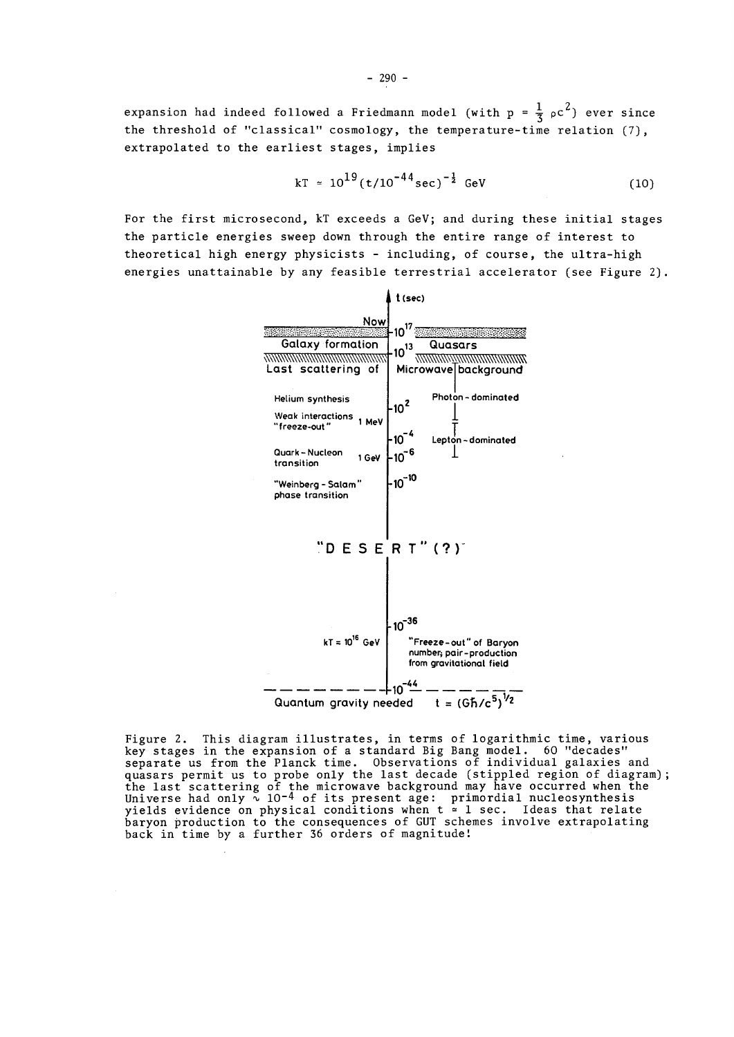expansion had indeed followed a Friedmann model (with p =  $\frac{1}{3}$   $_{\rho}$ c $^{2})$  ever since the threshold of "classical" cosmology, the temperature-time relation (7), extrapolated to the earliest stages, implies

$$
kT \approx 10^{19} (t/10^{-44} \text{sec})^{-\frac{1}{2}} \text{ GeV}
$$
 (10)

For the first microsecond, kT exceeds a GeV; and during these initial stages the particle energies sweep down through the entire range of interest to theoretical high energy physicists - including, of course, the ultra-high energies unattainable by any feasible terrestrial accelerator (see Figure 2).



Figure 2. This diagram illustrates, in terms of logarithmic time, various key stages in the expansion of a standard Big Bang model. 60 "decades" separate us from the Planck time. Observations of individual galaxies and quasars permit us to probe only the last decade (stippled region of diagram); the last scattering of the microwave background may have occurred when the Universe had only  $\scriptstyle\sim$  10<sup>-4</sup> of its present age:  $\,$  primordial nucleosynthesis yields evidence on physical conditions when t = 1 sec. Ideas that relate baryon production to the consequences of GUT schemes involve extrapolating back in time by a further 36 orders of magnitude!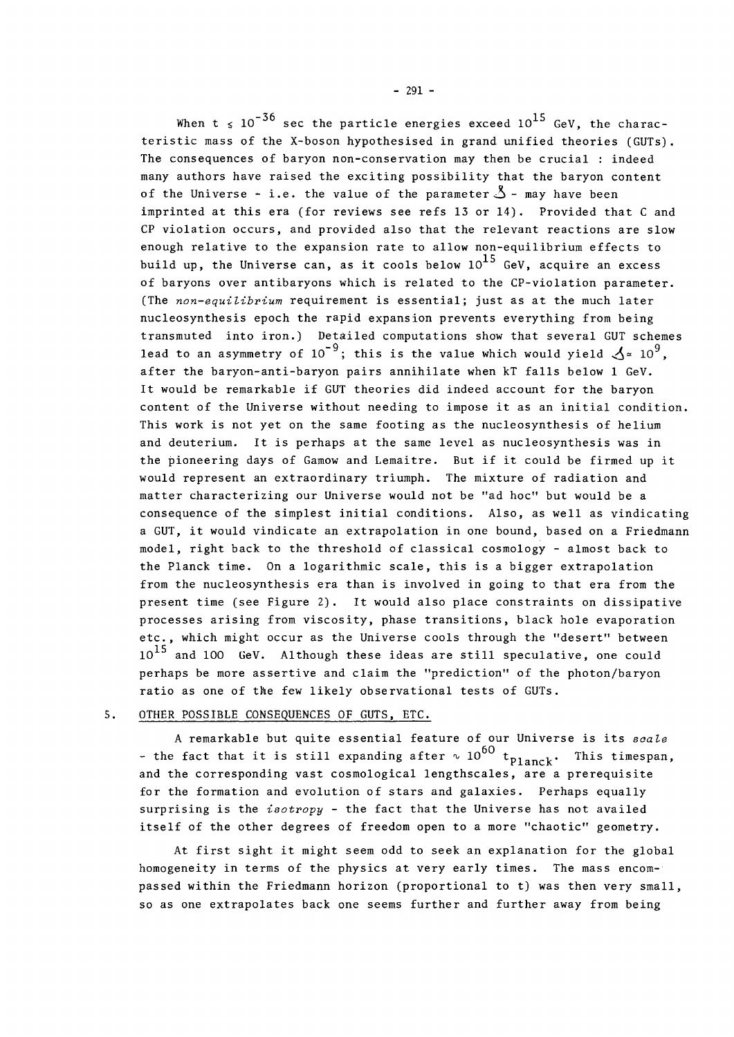When t  $\leq 10^{-36}$  sec the particle energies exceed 10<sup>15</sup> GeV, the characteristic mass of the X-boson hypothesised in grand unified theories (GUTs) . The consequences of baryon non-conservation may then be crucial : indeed many authors have raised the exciting possibility that the baryon content of the Universe - i.e. the value of the parameter  $\mathcal{S}$  - may have been imprinted at this era (for reviews see refs 13 or 14). Provided that C and CP violation occurs, and provided also that the relevant reactions are slow enough relative to the expansion rate to allow non-equilibrium effects to build up, the Universe can, as it cools below  $10^{15}$  GeV, acquire an excess of baryons over antibaryons which is related to the CP-violation parameter. (The *non-equilibrium* requirement is essential; just as at the much later nucleosynthesis epoch the rapid expansion prevents everything from being transmuted into iron.) Detailed computations show that several GUT schemes lead to an asymmetry of 10<sup>-9</sup>; this is the value which would yield  $\mathcal{A} \simeq 10^9$ , after the baryon-anti-baryon pairs annihilate when kT falls below 1 GeV. It would be remarkable if GUT theories did indeed account for the baryon content of the Universe without needing to impose it as an initial condition. This work is not yet on the same footing as the nucleosynthesis of helium and deuterium. It is perhaps at the same level as nucleosynthesis was in the pioneering days of Gamow and Lemaitre. But if it could be firmed up it would represent an extraordinary triumph. The mixture of radiation and matter characterizing our Universe would not be "ad hoc" but would be a consequence of the simplest initial conditions. Also, as well as vindicating a GUT, it would vindicate an extrapolation in one bound, based on a Friedmann model, right back to the threshold of classical cosmology - almost back to the Planck time. On a logarithmic scale, this is a bigger extrapolation from the nucleosynthesis era than is involved in going to that era from the present time (see Figure 2). It would also place constraints on dissipative processes arising from viscosity, phase transitions, black hole evaporation etc., which might occur as the Universe cools through the "desert" between  $10^{15}$  and 100 GeV. Although these ideas are still speculative, one could perhaps be more assertive and claim the "prediction" of the photon/baryon ratio as one of the few likely observational tests of GUTs.

## 5. OTHER POSSIBLE CONSEQUENCES OF GUTS, ETC.

A remarkable but quite essential feature of our Universe is its *scale*  - the fact that it is still expanding after  $\sim 10^{60}$  t<sub>planck</sub>. This timespan, and the corresponding vast cosmological lengthscales, are a prerequisite for the formation and evolution of stars and galaxies. Perhaps equally surprising is the *isotropy* - the fact that the Universe has not availed itself of the other degrees of freedom open to a more "chaotic" geometry.

At first sight it might seem odd to seek an explanation for the global homogeneity in terms of the physics at very early times. The mass encompassed within the Friedmann horizon (proportional to t) was then very small, so as one extrapolates back one seems further and further away from being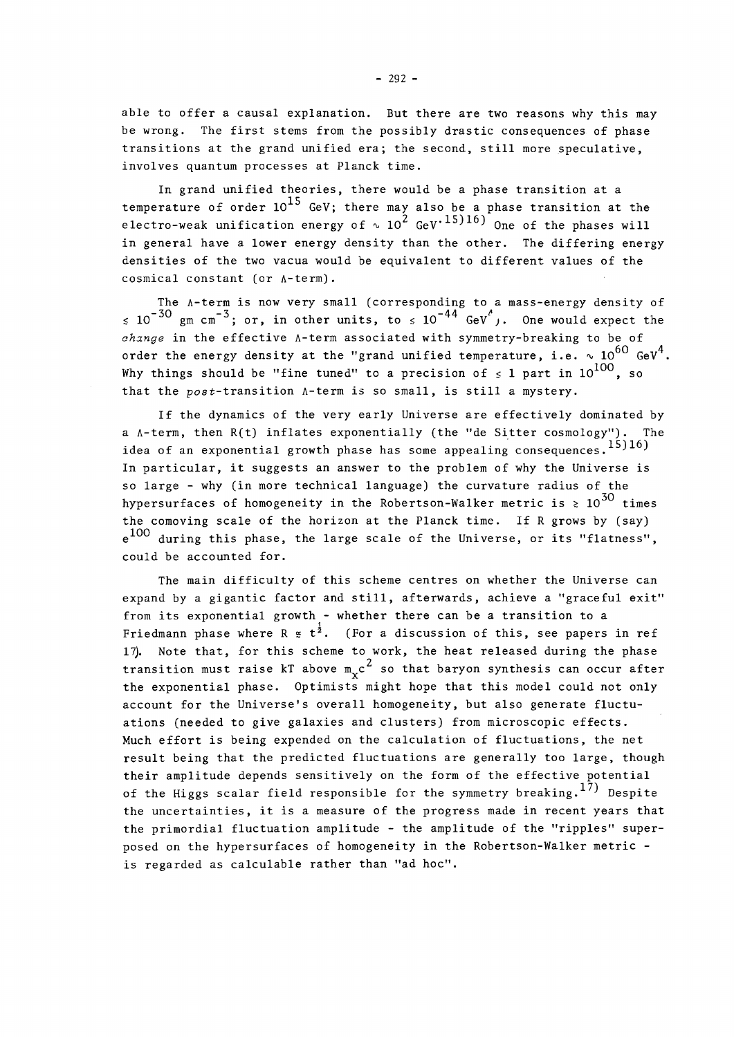able to offer a causal explanation. But there are two reasons why this may be wrong. The first stems from the possibly drastic consequences of phase transitions at the grand unified era; the second, still more speculative, involves quantum processes at Planck time.

In grand unified theories, there would be a phase transition at a temperature of order  $10^{15}$  GeV; there may also be a phase transition at the electro-weak unification energy of  $\sim 10^2$  GeV $^{\rm +15) 16)}$  One of the phases will in general have a lower energy density than the other. The differing energy densities of the two vacua would be equivalent to different values of the cosmical constant (or A-term).

The A-term is now very small (corresponding to a mass-energy density of  $\lesssim 10^{-30}$  gm cm<sup>-3</sup>; or, in other units, to  $\lesssim 10^{-44}$  GeV<sup>c</sup>,. One would expect the *change* in the effective A-term associated with symmetry-breaking to be of order the energy density at the "grand unified temperature, i.e.  $\sim 10^{60}$  GeV<sup>4</sup>. Why things should be "fine tuned" to a precision of  $\leq 1$  part in  $10^{100}$ , so that the  $post-transition$   $A-term$  is so small, is still a mystery.

If the dynamics of the very early Universe are effectively dominated by a  $A$ -term, then  $R(t)$  inflates exponentially (the "de Sitter cosmology"). The idea of an exponential growth phase has some appealing consequences.  $^{15)16}$ In particular, it suggests an answer to the problem of why the Universe is so large - why (in more technical language) the curvature radius of the hypersurfaces of homogeneity in the Robertson-Walker metric is  $\geq 10^{50}$  times the comoving scale of the horizon at the Planck time. If R grows by (say) e<sup>100</sup> during this phase, the large scale of the Universe, or its "flatness", could be accounted for.

The main difficulty of this scheme centres on whether the Universe can expand by a gigantic factor and still, afterwards, achieve a "graceful exit" from its exponential growth - whether there can be a transition to a Friedmann phase where R  $\epsilon$  t<sup>2</sup>. (For a discussion of this, see papers in ref 17). Note that, for this scheme to work, the heat released during the phase transition must raise kT above  $m_{\nu}c^2$  so that baryon synthesis can occur after the exponential phase. Optimists might hope that this model could not only account for the Universe's overall homogeneity, but also generate fluctuations (needed to give galaxies and clusters) from microscopic effects. Much effort is being expended on the calculation of fluctuations, the net result being that the predicted fluctuations are generally too large, though their amplitude depends sensitively on the form of the effective potential of the Higgs scalar field responsible for the symmetry breaking  $^{17}$  Despite the uncertainties, it is a measure of the progress made in recent years that<br>the primordial fluctuation amplitude - the amplitude of the "ripples" superthe primerialistic independence amplitude the amplitude of the rippine temperature  $\frac{1}{2}$ the primary fluctuation of the primary in the Necessary superis regarded as calculable rather than "ad hoc".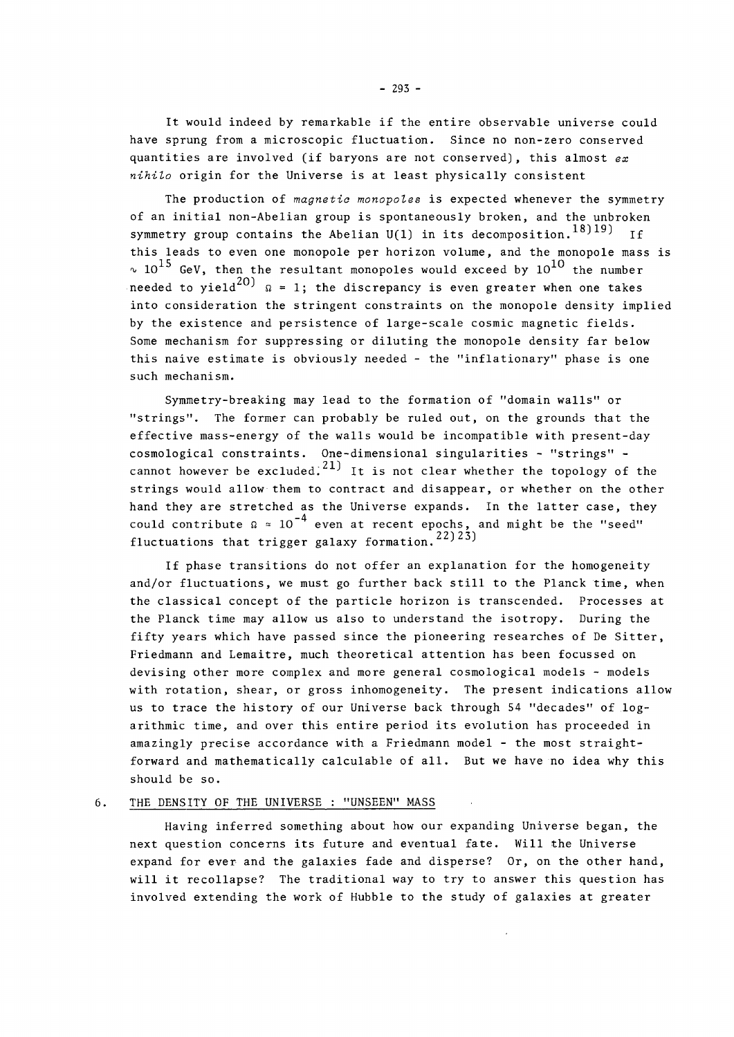It would indeed by remarkable if the entire observable universe could have sprung from a microscopic fluctuation. Since no non-zero conserved quantities are involved (if baryons are not conserved), this almost *ex nihilo* origin for the Universe is at least physically consistent

The production of *magnetic monopoles* is expected whenever the symmetry of an initial non-Abelian group is spontaneously broken, and the unbroken symmetry group contains the Abelian U(1) in its decomposition.<sup>18)19)</sup> If this leads to even one monopole per horizon volume, and the monopole mass is  $\sim$   $10^{15}$  GeV, then the resultant monopoles would exceed by  $10^{10}$  the number needed to yield<sup>20)</sup>  $\Omega = 1$ ; the discrepancy is even greater when one takes into consideration the stringent constraints on the monopole density implied by the existence and persistence of large-scale cosmic magnetic fields. Some mechanism for suppressing or diluting the monopole density far below this naive estimate is obviously needed - the "inflationary" phase is one such mechanism.

Symmetry-breaking may lead to the formation of "domain walls" or "strings". The former can probably be ruled out, on the grounds that the effective mass-energy of the walls would be incompatible with present-day<br>cosmological constraints. One-dimensional singularities - "strings" cosmological constraints. One-dimensional singularities - "strings" -  $21$ strings would allow them to contract and disappear, or whether on the other hand they are stretched as the Universe expands. In the latter case, they could contribute  $\Omega \, \simeq \, 10^{-4}$  even at recent epochs, and might be the "seed" 22) 23) fluctuations that trigger galaxy formation. finally could contribute *a ~* 10 even at recent epochs, and might be the "seed"

If phase transitions do not offer an explanation for the homogeneity and/or fluctuations, we must go further back still to the Planck time, when the classical concept of the particle horizon is transcended. Processes at the Planck time may allow us also to understand the isotropy. During the fifty years which have passed since the pioneering researches of De Sitter, Friedmann and Lemaitre, much theoretical attention has been focussed on devising other more complex and more general cosmological models - models with rotation, shear, or gross inhomogeneity. The present indications allow us to trace the history of our Universe back through 54 "decades" of logarithmic time, and over this entire period its evolution has proceeded in amazingly precise accordance with a Friedmann model - the most straightforward and mathematically calculable of all. But we have no idea why this should be so.

#### $6.$ THE DENSITY OF THE UNIVERSE : "UNSEEN" MASS

Having inferred something about how our expanding Universe began, the next question concerns its future and eventual fate. Will the Universe expand for ever and the galaxies fade and disperse? Or, on the other hand, will it recollapse? The traditional way to try to answer this question has involved extending the work of Hubble to the study of galaxies at greater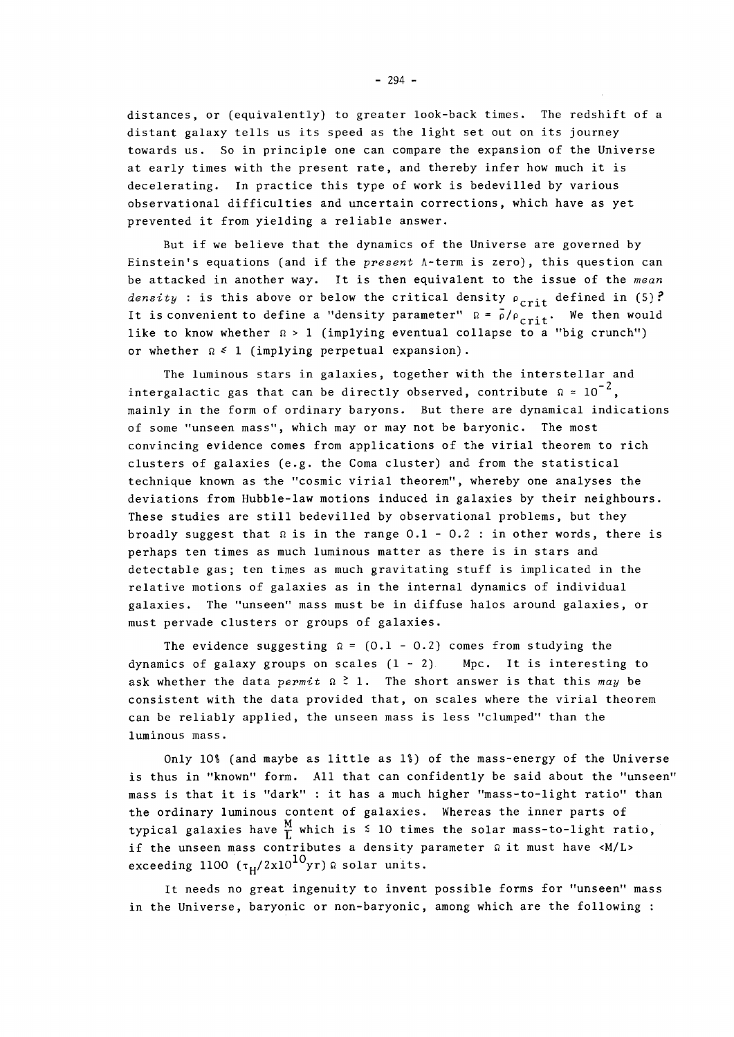distances, or (equivalently) to greater look-back times. The redshift of a distant galaxy tells us its speed as the light set out on its journey towards us. So in principle one can compare the expansion of the Universe at early times with the present rate, and thereby infer how much it is decelerating. In practice this type of work is bedevilled by various observational difficulties and uncertain corrections, which have as yet prevented it from yielding a reliable answer.

But if we believe that the dynamics of the Universe are governed by Einstein's equations (and if the *present* A-term is zero), this question can be attacked in another way. It is then equivalent to the issue of the *mean density* : is this above or below the critical density  $\rho_{crit}$  defined in (5)? It is convenient to define a "density parameter"  $\Omega = \rho/\rho_{\text{crit}}$ . We then would like to know whether  $\Omega > 1$  (implying eventual collapse to a "big crunch") or whether  $\Omega \leq 1$  (implying perpetual expansion).

The luminous stars in galaxies, together with the interstellar and intergalactic gas that can be directly observed, contribute  $\Omega \approx 10^{-2}$ , mainly in the form of ordinary baryons. But there are dynamical indications of some "unseen mass", which may or may not be baryonic. The most convincing evidence comes from applications of the virial theorem to rich clusters of galaxies (e.g. the Coma cluster) and from the statistical technique known as the "cosmic virial theorem", whereby one analyses the deviations from Hubble-law motions induced in galaxies by their neighbours. These studies are still bedevilled by observational problems, but they broadly suggest that  $\Omega$  is in the range 0.1 - 0.2 : in other words, there is perhaps ten times as much luminous matter as there is in stars and detectable gas; ten times as much gravitating stuff is implicated in the relative motions of galaxies as in the internal dynamics of individual galaxies. The "unseen" mass must be in diffuse halos around galaxies, or  $\epsilon$  assumes. The "unseen" mass must be in diffuse halos around galaxies, or  $\epsilon$ must perform contribute  $g_{\text{max}}$  and  $g_{\text{max}}$ 

The evidence suggesting  $\Omega = (0.1 - 0.2)$  comes from studying the dynamics of galaxy groups on scales  $(1 - 2)$  Mpc. It is interesting to ask whether the data *permit*  $\Omega \n\geq 1$ . The short answer is that this may be consistent with the data provided that, on scales where the virial theorem can be reliably applied, the unseen mass is less "clumped" than the luminous mass.

Only 101 (and maybe as little as II) of the mass-energy of the Universe is thus in "known" form. All that can confidently be said about the "unseen" mass is that it is "dark" : it has a much higher "mass-to-light ratio" than the ordinary luminous content of galaxies. Whereas the inner parts of typical galaxies have  $\frac{M}{L}$  which is  $\leq$  10 times the solar mass-to-light ratio, if the unseen mass contributes a density parameter  $\Omega$  it must have <M/L> exceeding 1100  $(\tau_H/2x10^{10}yr)$  a solar units.

exceeding 1100 **(T** <sup>H</sup> /2xl01 0 yr)fi solar units. It needs no great ingenuity to invent possible forms for "unseen" mass in the Universe, baryonic or non-baryonic, among which are the following :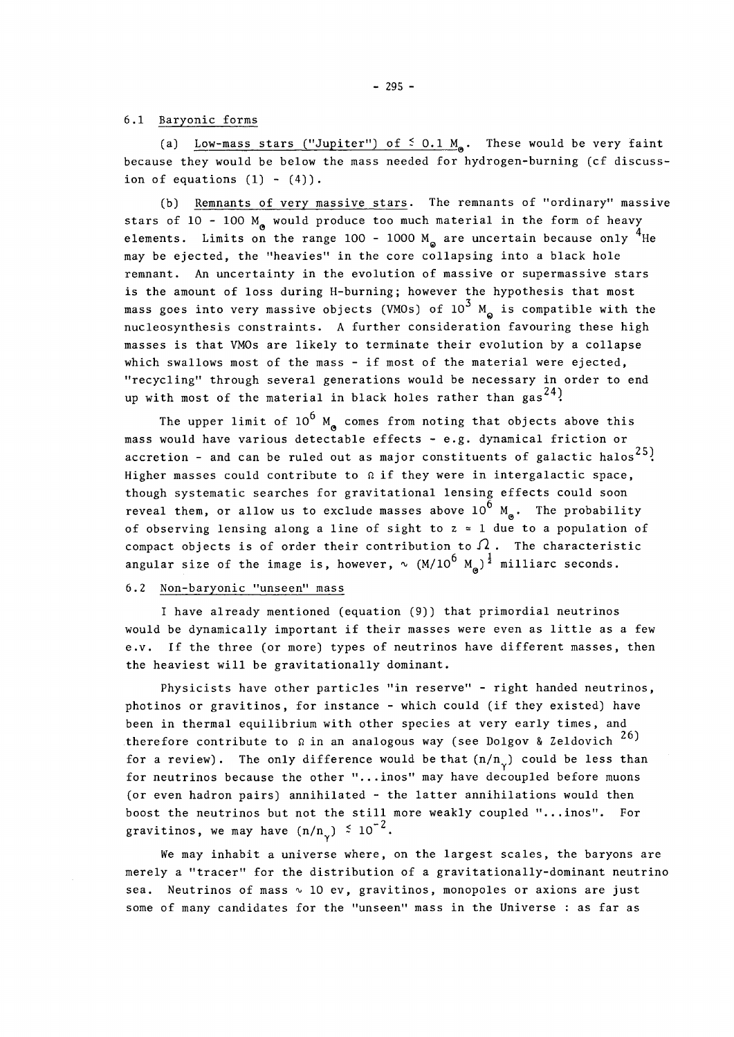## 6.1 Baryonic forms

(a) Low-mass stars ("Jupiter") of  $\leq$  0.1 M<sub>a</sub>. These would be very faint because they would be below the mass needed for hydrogen-burning (cf discussion of equations  $(1) - (4)$ .

(b) Remnants of very massive stars. The remnants of "ordinary" massive stars of 10 - 100  $M_a$  would produce too much material in the form of heavy elements. Limits on the range 100 - 1000  $M_{\odot}$  are uncertain because only <sup>4</sup>He may be ejected, the "heavies" in the core collapsing into a black hole remnant. An uncertainty in the evolution of massive or supermassive stars is the amount of loss during H-burning; however the hypothesis that most mass goes into very massive objects (VMOs) of  $10^3$  M<sub>a</sub> is compatible with the nucleosynthesis constraints. A further consideration favouring these high masses is that VMOs are likely to terminate their evolution by a collapse which swallows most of the mass - if most of the material were ejected, "recycling" through several generations would be necessary in order to end up with most of the material in black holes rather than  ${\rm gas}^{\,24}$ .

The upper limit of  $10^6$  M comes from noting that objects above this mass would have various detectable effects - e.g. dynamical friction or accretion - and can be ruled out as major constituents of galactic halos<sup>25</sup>. Higher masses could contribute to  $\Omega$  if they were in intergalactic space, though systematic searches for gravitational lensing effects could soon reveal them, or allow us to exclude masses above  $10^6$  M<sub>®</sub>. The probability of observing lensing along a line of sight to  $z \approx 1$  due to a population of compact objects is of order their contribution to  $\Omega$ . The characteristic consular size of the image is beyover  $v_c$   $(M/10^6 M)^{\frac{1}{2}}$  milliars seconds  $^{\circ}$  0  $^{\prime}$ 

#### 6.2 Non-baryonic "unseen" mass 6.2 Non-baryonic "unseen" mass

I have already mentioned (equation (9)) that primordial neutrinos would be dynamically important if their masses were even as little as a few e.v. If the three (or more) types of neutrinos have different masses, then the heaviest will be gravitationally dominant.

Physicists have other particles "in reserve" - right handed neutrinos, photinos or gravitinos, for instance - which could (if they existed) have been in thermal equilibrium with other species at very early times, and therefore contribute to  $\Omega$  in an analogous way (see Dolgov & Zeldovich  $\tilde{\phantom{a}}$ for a review). The only difference would be that  $(n/n_{\nu})$  could be less than for neutrinos because the other "...inos" may have decoupled before muons (or even hadron pairs) annihilated - the latter annihilations would then boost the neutrinos but not the still more weakly coupled "...inos". For  $-2$  $\sum_{\alpha}$  is the may have  $(n, n_{\gamma})$  - 10

We may inhabit a universe where, on the largest scales, the baryons are merely a "tracer" for the distribution of a gravitationally-dominant neutrino sea. Neutrinos of mass  $\sim$  10 ev, gravitinos, monopoles or axions are just some of many candidates for the "unseen" mass in the Universe : as far as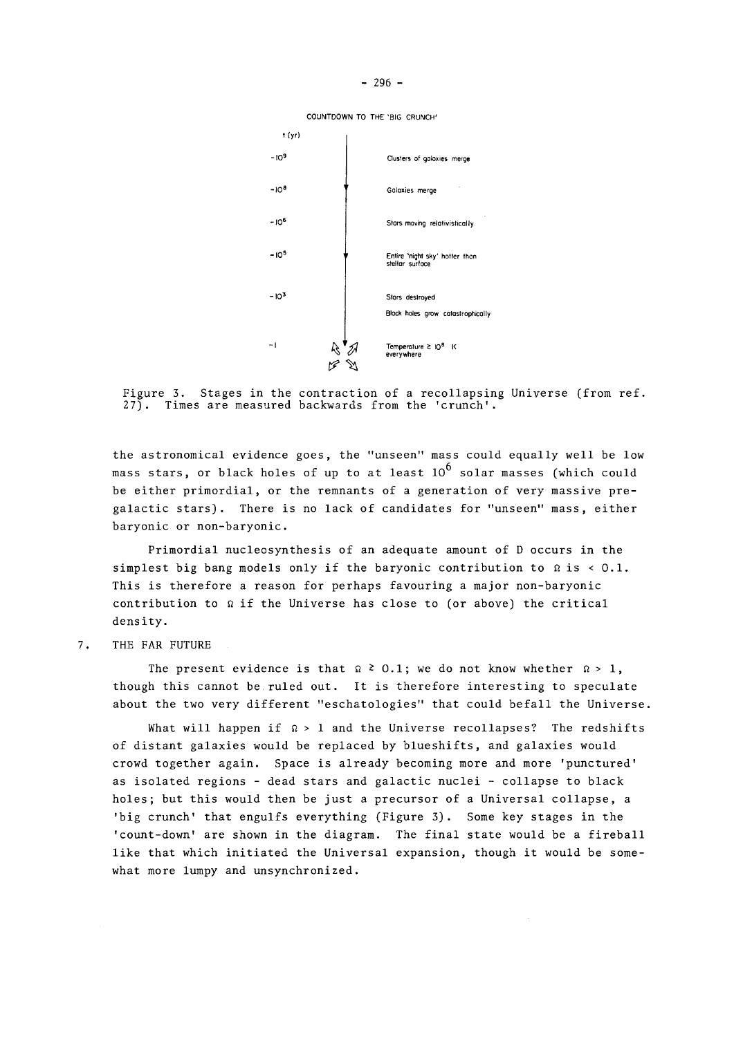COUNTDOWN TO THE 'BIG CRUNCH'



Figure 3. Stages in the contraction of a recollapsing Universe (from ref. 27). Times are measured backwards from the 'crunch'.

the astronomical evidence goes, the "unseen" mass could equally well be low mass stars, or black holes of up to at least  $10^6$  solar masses (which could be either primordial, or the remnants of a generation of very massive pregalactic stars). There is no lack of candidates for "unseen" mass, either baryonic or non-baryonic.

Primordial nucleosynthesis of an adequate amount of D occurs in the simplest big bang models only if the baryonic contribution to  $\Omega$  is < 0.1. This is therefore a reason for perhaps favouring a major non-baryonic contribution to *si* if the Universe has close to (or above) the critical density.

7. THE FAR FUTURE

The present evidence is that  $\Omega \geq 0.1$ ; we do not know whether  $\Omega > 1$ , though this cannot be ruled out. It is therefore interesting to speculate about the two very different "eschatologies" that could befall the Universe.

What will happen if  $\Omega > 1$  and the Universe recollapses? The redshifts of distant galaxies would be replaced by blueshifts, and galaxies would crowd together again. Space is already becoming more and more 'punctured' as isolated regions - dead stars and galactic nuclei - collapse to black holes; but this would then be just a precursor of a Universal collapse, a 'big crunch' that engulfs everything (Figure 3). Some key stages in the 'count-down' are shown in the diagram. The final state would be a fireball like that which initiated the Universal expansion, though it would be somewhat more lumpy and unsynchronized.

 $-296 -$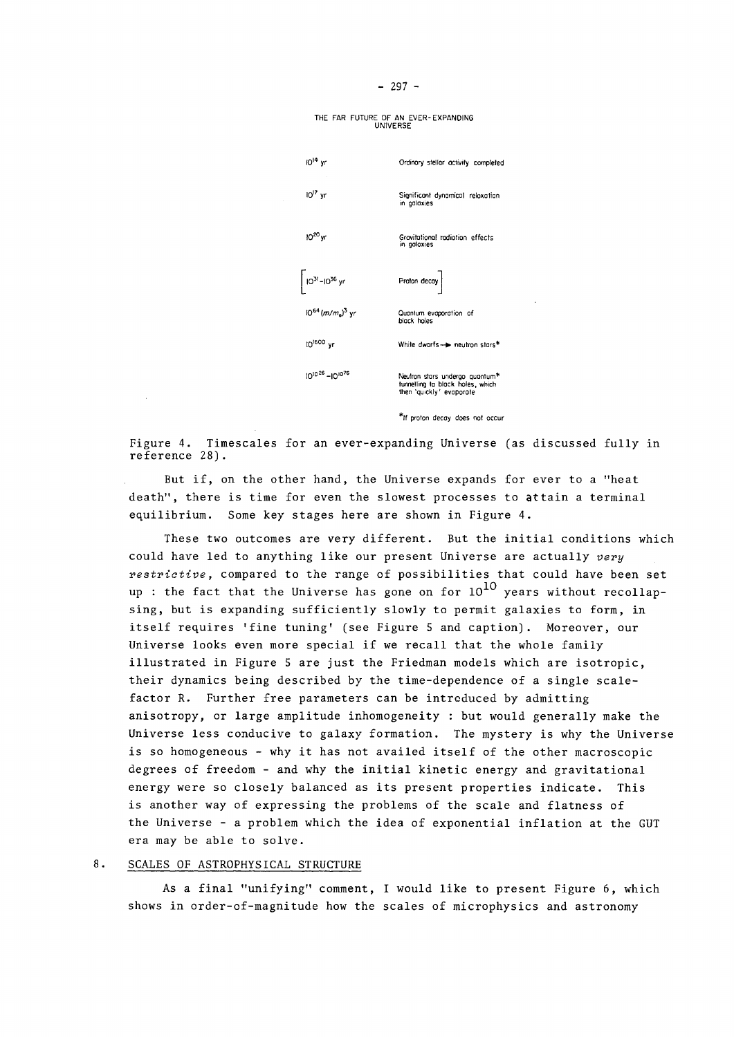THE FAR FUTURE OF AM EVER-EXPANDING UNIVERSE



\*lf proton decay does not occur

Figure 4. Timescales for an ever-expanding Universe (as discussed fully in reference 28).

But if, on the other hand, the Universe expands for ever to a "heat death", there is time for even the slowest processes to attain a terminal equilibrium. Some key stages here are shown in Figure 4.

These two outcomes are very different. But the initial conditions which could have led to anything like our present Universe are actually *very restrictive,* compared to the range of possibilities that could have been set up : the fact that the Universe has gone on for  $10^{10}$  years without recollapsing, but is expanding sufficiently slowly to permit galaxies to form, in itself requires 'fine tuning' (see Figure 5 and caption). Moreover, our Universe looks even more special if we recall that the whole family illustrated in Figure 5 are just the Friedman models which are isotropic, their dynamics being described by the time-dependence of a single scalefactor R. Further free parameters can be introduced by admitting anisotropy, or large amplitude inhomogeneity : but would generally make the Universe less conducive to galaxy formation. The mystery is why the Universe is so homogeneous - why it has not availed itself of the other macroscopic degrees of freedom - and why the initial kinetic energy and gravitational energy were so closely balanced as its present properties indicate. This is another way of expressing the problems of the scale and flatness of the Universe - a problem which the idea of exponential inflation at the GUT era may be able to solve.

#### $8.$ SCALES OF ASTROPHYSICAL STRUCTURE

As a final "unifying" comment, **I** would like to present Figure 6, which shows in order-of-magnitude how the scales of microphysics and astronomy

#### - 297 -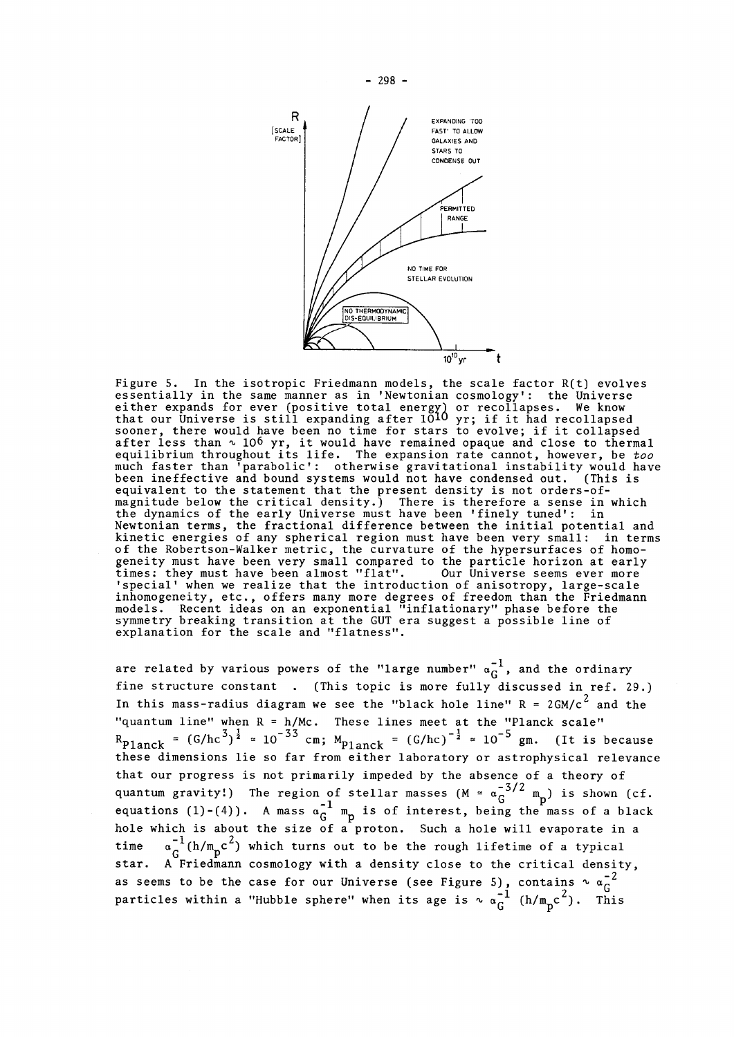

Figure 5. In the isotropic Friedmann models, the scale factor R(t) evolves essentially in the same manner as in 'Newtonian cosmology': the Universe either expands for ever (positive total energy) or recollapses. We know that our Universe is still expanding after 10<sup>10</sup> yr; if it had recollapsed sooner, there would have been no time for stars to evolve; if it collapsed after less than  $\scriptstyle\sim$  10° yr, it would have remained opaque and close to thermal equilibrium throughout its life. The expansion rate cannot, however, be *too*  much faster than 'parabolic\*: otherwise gravitational instability would have been ineffective and bound systems would not have condensed out. (This is equivalent to the statement that the present density is not orders-ofmagnitude below the critical density.) There is therefore a sense in which the dynamics of the early Universe must have been 'finely tuned': in Newtonian terms, the fractional difference between the initial potential and kinetic energies of any spherical region must have been very small: in terms of the Robertson-Walker metric, the curvature of the hypersurfaces of homogeneity must have been very small compared to the particle horizon at early times: they must have been almost "flat". Our Universe seems ever more special' when we realize that the introduction of anisotropy, large-scale inhomogeneity, etc., offers many more degrees of freedom than the Friedmann models. Recent ideas on an exponential "inflationary" phase before the symmetry breaking transition at the GUT era suggest a possible line of explanation for the scale and "flatness".

are related by various powers of the "large number"  $\alpha_G^{-1}$ , and the ordinary fine structure constant . (This topic is more fully discussed in ref. 29.) In this mass-radius diagram we see the "black hole line"  $R = 2GM/c^2$  and the "quantum line" when R = h/Mc. These lines meet at the "Planck scale"  $R_{\rm Planck}$  = (G/hc<sup>3</sup>)<sup>2</sup> = 10  $35$  cm; M<sub>planck</sub> = (G/hc)<sup>-2</sup> = 10  $3$  gm. (It is becaus these dimensions lie so far from either laboratory or astrophysical relevance that our progress is not primarily impeded by the absence of a theory of - 3/2 quantum gravity.) The region of stellar masses (M =  $\alpha_G$  m<sub>p</sub>) is shown (cf. equations (1)-(4)). A mass  $\alpha_G^{-1}$  m<sub>p</sub> is of interest, being the mass of a black hole which is about the size of a proton. Such a hole will evaporate in a time  $\alpha_{\rm G}^{-1}(\hbar/\mathtt{m_{p}c}^{2})$  which turns out to be the rough lifetime of a typical  $\sigma_{\text{Poisson}}$ star. A Friedmann cosmology with a density close to the critical density,  $\tilde{z}$ restigles within a Whithle spherall when its arc  $\frac{1}{2}$  (h/m  $\frac{2}{3}$ )  $\frac{91}{8}$  $G^{(1)}$   $\mathbb{P}$   $\mathbb{P}$ 

 $-298 -$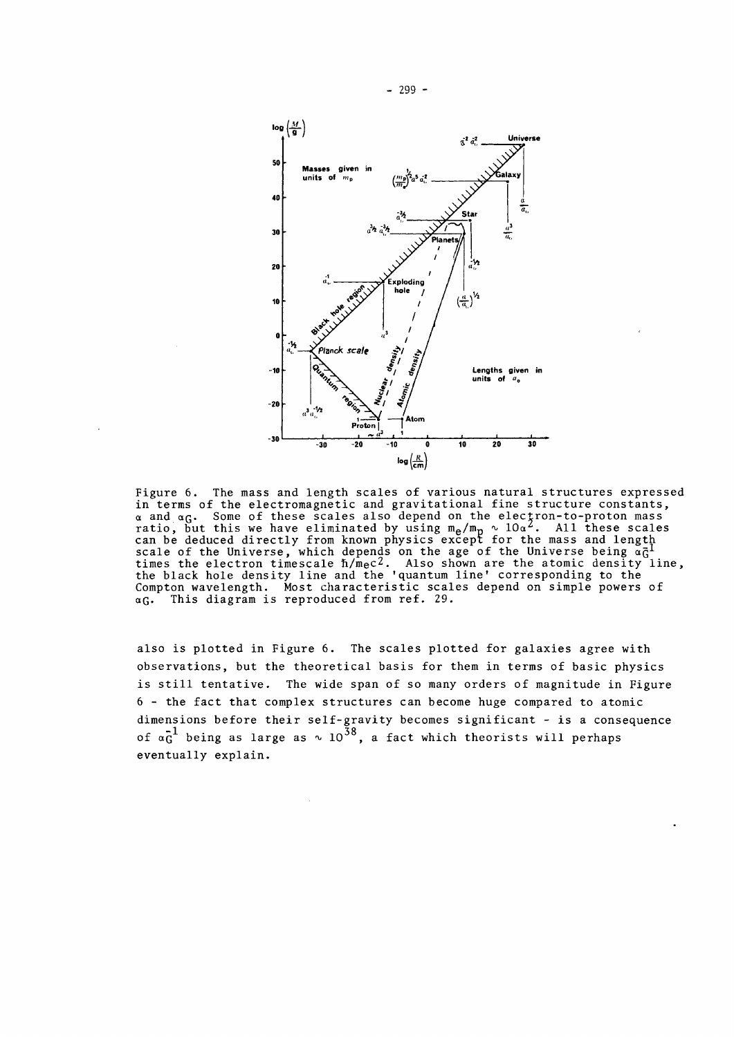

Figure 6. The mass and length scales of various natural structures expressed in terms of the electromagnetic and gravitational fine structure constants, a and *O.Q.* Some of these scales also depend on the electron-to-proton mass ratio, but this we have eliminated by using  $m_{\rm e}/m_{\rm p}$   $\sim$  10a $^2$ . All these scales can be deduced directly from known physics except for the mass and length scale of the Universe, which depends on the age of the Universe being *acf*  times the electron timescale  $\hbar/\text{\tt{m}}$ ec $^{\prime}$ . Also shown are the atomic density line, the black hole density line and the 'quantum line\* corresponding to the Compton wavelength. Most characteristic scales depend on simple powers of  $\alpha$ G. This diagram is reproduced from ref. 29.

also is plotted in Figure 6. The scales plotted for galaxies agree with observations, but the theoretical basis for them in terms of basic physics is still tentative. The wide span of so many orders of magnitude in Figure 6 - the fact that complex structures can become huge compared to atomic dimensions before their self-gravity becomes significant - is a consequence of  $\mathfrak{a}_G^{-1}$  being as large as  $\scriptstyle\sim 10^{38},$  a fact which theorists will perhaps eventually explain.

- 299 -